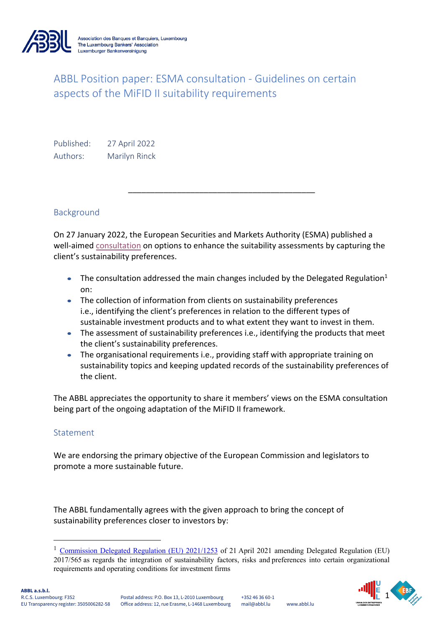

# ABBL Position paper: ESMA consultation - Guidelines on certain aspects of the MiFID II suitability requirements

Published: 27 April 2022 Authors: Marilyn Rinck

## Background

On 27 January 2022, the European Securities and Markets Authority (ESMA) published a well-aimed consultation on options to enhance the suitability assessments by capturing the client's sustainability preferences.

\_\_\_\_\_\_\_\_\_\_\_\_\_\_\_\_\_\_\_\_\_\_\_\_\_\_\_\_\_\_\_\_\_\_\_\_\_\_\_\_\_\_

- The consultation addressed the main changes included by the Delegated Regulation<sup>1</sup> on:
- The collection of information from clients on sustainability preferences i.e., identifying the client's preferences in relation to the different types of sustainable investment products and to what extent they want to invest in them.
- The assessment of sustainability preferences i.e., identifying the products that meet the client's sustainability preferences.
- The organisational requirements i.e., providing staff with appropriate training on sustainability topics and keeping updated records of the sustainability preferences of the client.

The ABBL appreciates the opportunity to share it members' views on the ESMA consultation being part of the ongoing adaptation of the MiFID II framework.

### Statement

We are endorsing the primary objective of the European Commission and legislators to promote a more sustainable future.

The ABBL fundamentally agrees with the given approach to bring the concept of sustainability preferences closer to investors by:



<sup>&</sup>lt;sup>1</sup> Commission Delegated Regulation (EU) 2021/1253 of 21 April 2021 amending Delegated Regulation (EU) 2017/565 as regards the integration of sustainability factors, risks and preferences into certain organizational requirements and operating conditions for investment firms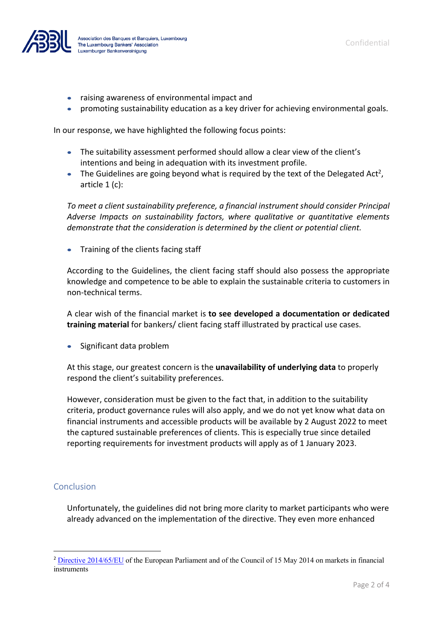

- raising awareness of environmental impact and
- promoting sustainability education as a key driver for achieving environmental goals.

In our response, we have highlighted the following focus points:

- The suitability assessment performed should allow a clear view of the client's intentions and being in adequation with its investment profile.
- The Guidelines are going beyond what is required by the text of the Delegated Act<sup>2</sup>, article 1 (c):

*To meet a client sustainability preference, a financial instrument should consider Principal Adverse Impacts on sustainability factors, where qualitative or quantitative elements demonstrate that the consideration is determined by the client or potential client.*

• Training of the clients facing staff

According to the Guidelines, the client facing staff should also possess the appropriate knowledge and competence to be able to explain the sustainable criteria to customers in non-technical terms.

A clear wish of the financial market is **to see developed a documentation or dedicated training material** for bankers/ client facing staff illustrated by practical use cases.

• Significant data problem

At this stage, our greatest concern is the **unavailability of underlying data** to properly respond the client's suitability preferences.

However, consideration must be given to the fact that, in addition to the suitability criteria, product governance rules will also apply, and we do not yet know what data on financial instruments and accessible products will be available by 2 August 2022 to meet the captured sustainable preferences of clients. This is especially true since detailed reporting requirements for investment products will apply as of 1 January 2023.

### Conclusion

Unfortunately, the guidelines did not bring more clarity to market participants who were already advanced on the implementation of the directive. They even more enhanced

<sup>&</sup>lt;sup>2</sup> Directive 2014/65/EU of the European Parliament and of the Council of 15 May 2014 on markets in financial instruments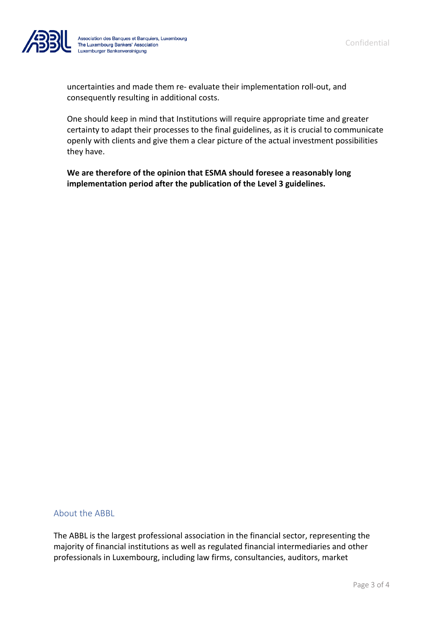

Association des Banques et Banquiers, Luxembourg<br>The Luxembourg Bankers' Association<br>Luxemburger Bankenvereinigung

uncertainties and made them re- evaluate their implementation roll-out, and consequently resulting in additional costs.

One should keep in mind that Institutions will require appropriate time and greater certainty to adapt their processes to the final guidelines, as it is crucial to communicate openly with clients and give them a clear picture of the actual investment possibilities they have.

**We are therefore of the opinion that ESMA should foresee a reasonably long implementation period after the publication of the Level 3 guidelines.** 

#### About the ABBL

The ABBL is the largest professional association in the financial sector, representing the majority of financial institutions as well as regulated financial intermediaries and other professionals in Luxembourg, including law firms, consultancies, auditors, market